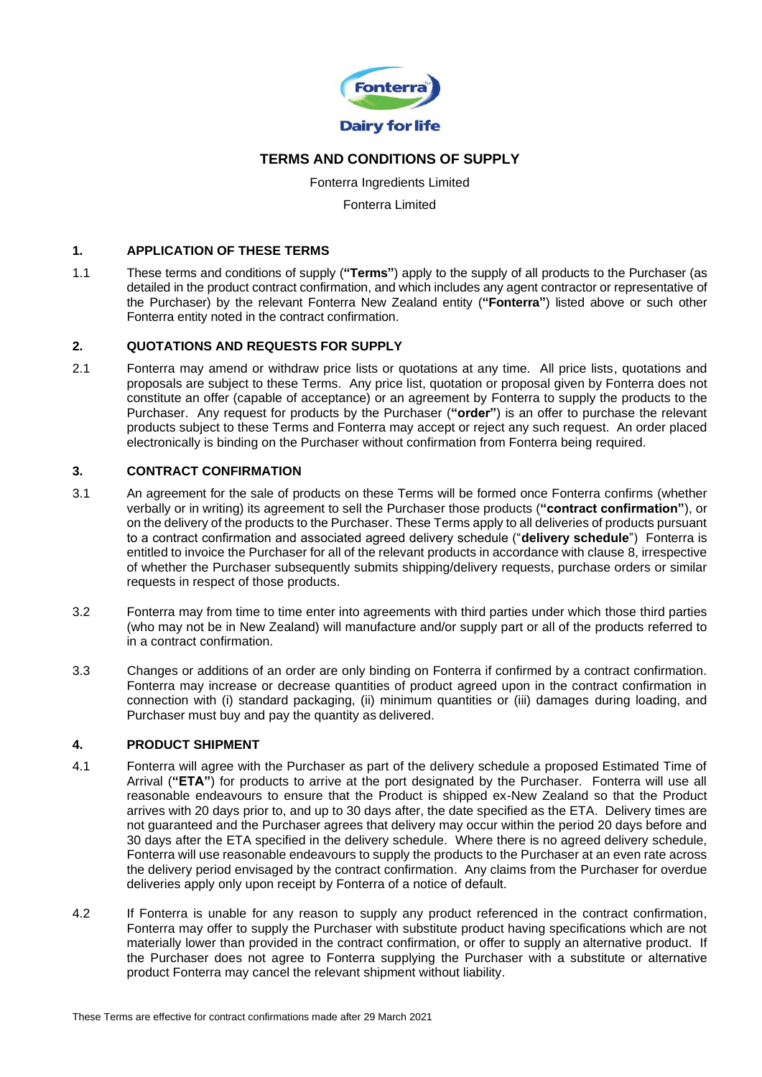

# **TERMS AND CONDITIONS OF SUPPLY**

Fonterra Ingredients Limited Fonterra Limited

### **1. APPLICATION OF THESE TERMS**

1.1 These terms and conditions of supply (**"Terms"**) apply to the supply of all products to the Purchaser (as detailed in the product contract confirmation, and which includes any agent contractor or representative of the Purchaser) by the relevant Fonterra New Zealand entity (**"Fonterra"**) listed above or such other Fonterra entity noted in the contract confirmation.

### **2. QUOTATIONS AND REQUESTS FOR SUPPLY**

2.1 Fonterra may amend or withdraw price lists or quotations at any time. All price lists, quotations and proposals are subject to these Terms. Any price list, quotation or proposal given by Fonterra does not constitute an offer (capable of acceptance) or an agreement by Fonterra to supply the products to the Purchaser. Any request for products by the Purchaser (**"order"**) is an offer to purchase the relevant products subject to these Terms and Fonterra may accept or reject any such request. An order placed electronically is binding on the Purchaser without confirmation from Fonterra being required.

### **3. CONTRACT CONFIRMATION**

- 3.1 An agreement for the sale of products on these Terms will be formed once Fonterra confirms (whether verbally or in writing) its agreement to sell the Purchaser those products (**"contract confirmation"**), or on the delivery of the products to the Purchaser. These Terms apply to all deliveries of products pursuant to a contract confirmation and associated agreed delivery schedule ("**delivery schedule**") Fonterra is entitled to invoice the Purchaser for all of the relevant products in accordance with clause 8, irrespective of whether the Purchaser subsequently submits shipping/delivery requests, purchase orders or similar requests in respect of those products.
- 3.2 Fonterra may from time to time enter into agreements with third parties under which those third parties (who may not be in New Zealand) will manufacture and/or supply part or all of the products referred to in a contract confirmation.
- 3.3 Changes or additions of an order are only binding on Fonterra if confirmed by a contract confirmation. Fonterra may increase or decrease quantities of product agreed upon in the contract confirmation in connection with (i) standard packaging, (ii) minimum quantities or (iii) damages during loading, and Purchaser must buy and pay the quantity as delivered.

# **4. PRODUCT SHIPMENT**

- 4.1 Fonterra will agree with the Purchaser as part of the delivery schedule a proposed Estimated Time of Arrival (**"ETA"**) for products to arrive at the port designated by the Purchaser. Fonterra will use all reasonable endeavours to ensure that the Product is shipped ex-New Zealand so that the Product arrives with 20 days prior to, and up to 30 days after, the date specified as the ETA. Delivery times are not guaranteed and the Purchaser agrees that delivery may occur within the period 20 days before and 30 days after the ETA specified in the delivery schedule. Where there is no agreed delivery schedule, Fonterra will use reasonable endeavours to supply the products to the Purchaser at an even rate across the delivery period envisaged by the contract confirmation. Any claims from the Purchaser for overdue deliveries apply only upon receipt by Fonterra of a notice of default.
- 4.2 If Fonterra is unable for any reason to supply any product referenced in the contract confirmation, Fonterra may offer to supply the Purchaser with substitute product having specifications which are not materially lower than provided in the contract confirmation, or offer to supply an alternative product. If the Purchaser does not agree to Fonterra supplying the Purchaser with a substitute or alternative product Fonterra may cancel the relevant shipment without liability.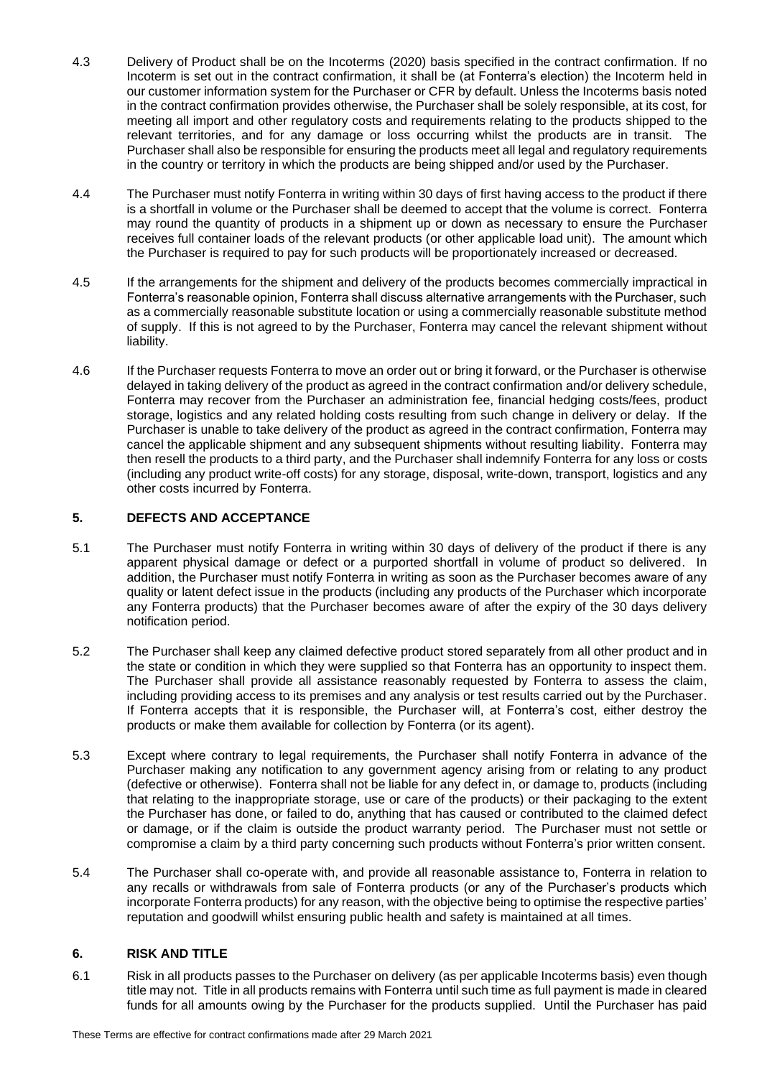- 4.3 Delivery of Product shall be on the Incoterms (2020) basis specified in the contract confirmation. If no Incoterm is set out in the contract confirmation, it shall be (at Fonterra's election) the Incoterm held in our customer information system for the Purchaser or CFR by default. Unless the Incoterms basis noted in the contract confirmation provides otherwise, the Purchaser shall be solely responsible, at its cost, for meeting all import and other regulatory costs and requirements relating to the products shipped to the relevant territories, and for any damage or loss occurring whilst the products are in transit. The Purchaser shall also be responsible for ensuring the products meet all legal and regulatory requirements in the country or territory in which the products are being shipped and/or used by the Purchaser.
- 4.4 The Purchaser must notify Fonterra in writing within 30 days of first having access to the product if there is a shortfall in volume or the Purchaser shall be deemed to accept that the volume is correct. Fonterra may round the quantity of products in a shipment up or down as necessary to ensure the Purchaser receives full container loads of the relevant products (or other applicable load unit). The amount which the Purchaser is required to pay for such products will be proportionately increased or decreased.
- 4.5 If the arrangements for the shipment and delivery of the products becomes commercially impractical in Fonterra's reasonable opinion, Fonterra shall discuss alternative arrangements with the Purchaser, such as a commercially reasonable substitute location or using a commercially reasonable substitute method of supply. If this is not agreed to by the Purchaser, Fonterra may cancel the relevant shipment without liability.
- 4.6 If the Purchaser requests Fonterra to move an order out or bring it forward, or the Purchaser is otherwise delayed in taking delivery of the product as agreed in the contract confirmation and/or delivery schedule, Fonterra may recover from the Purchaser an administration fee, financial hedging costs/fees, product storage, logistics and any related holding costs resulting from such change in delivery or delay. If the Purchaser is unable to take delivery of the product as agreed in the contract confirmation, Fonterra may cancel the applicable shipment and any subsequent shipments without resulting liability. Fonterra may then resell the products to a third party, and the Purchaser shall indemnify Fonterra for any loss or costs (including any product write-off costs) for any storage, disposal, write-down, transport, logistics and any other costs incurred by Fonterra.

# **5. DEFECTS AND ACCEPTANCE**

- 5.1 The Purchaser must notify Fonterra in writing within 30 days of delivery of the product if there is any apparent physical damage or defect or a purported shortfall in volume of product so delivered. In addition, the Purchaser must notify Fonterra in writing as soon as the Purchaser becomes aware of any quality or latent defect issue in the products (including any products of the Purchaser which incorporate any Fonterra products) that the Purchaser becomes aware of after the expiry of the 30 days delivery notification period.
- 5.2 The Purchaser shall keep any claimed defective product stored separately from all other product and in the state or condition in which they were supplied so that Fonterra has an opportunity to inspect them. The Purchaser shall provide all assistance reasonably requested by Fonterra to assess the claim, including providing access to its premises and any analysis or test results carried out by the Purchaser. If Fonterra accepts that it is responsible, the Purchaser will, at Fonterra's cost, either destroy the products or make them available for collection by Fonterra (or its agent).
- 5.3 Except where contrary to legal requirements, the Purchaser shall notify Fonterra in advance of the Purchaser making any notification to any government agency arising from or relating to any product (defective or otherwise). Fonterra shall not be liable for any defect in, or damage to, products (including that relating to the inappropriate storage, use or care of the products) or their packaging to the extent the Purchaser has done, or failed to do, anything that has caused or contributed to the claimed defect or damage, or if the claim is outside the product warranty period. The Purchaser must not settle or compromise a claim by a third party concerning such products without Fonterra's prior written consent.
- 5.4 The Purchaser shall co-operate with, and provide all reasonable assistance to, Fonterra in relation to any recalls or withdrawals from sale of Fonterra products (or any of the Purchaser's products which incorporate Fonterra products) for any reason, with the objective being to optimise the respective parties' reputation and goodwill whilst ensuring public health and safety is maintained at all times.

# **6. RISK AND TITLE**

6.1 Risk in all products passes to the Purchaser on delivery (as per applicable Incoterms basis) even though title may not. Title in all products remains with Fonterra until such time as full payment is made in cleared funds for all amounts owing by the Purchaser for the products supplied. Until the Purchaser has paid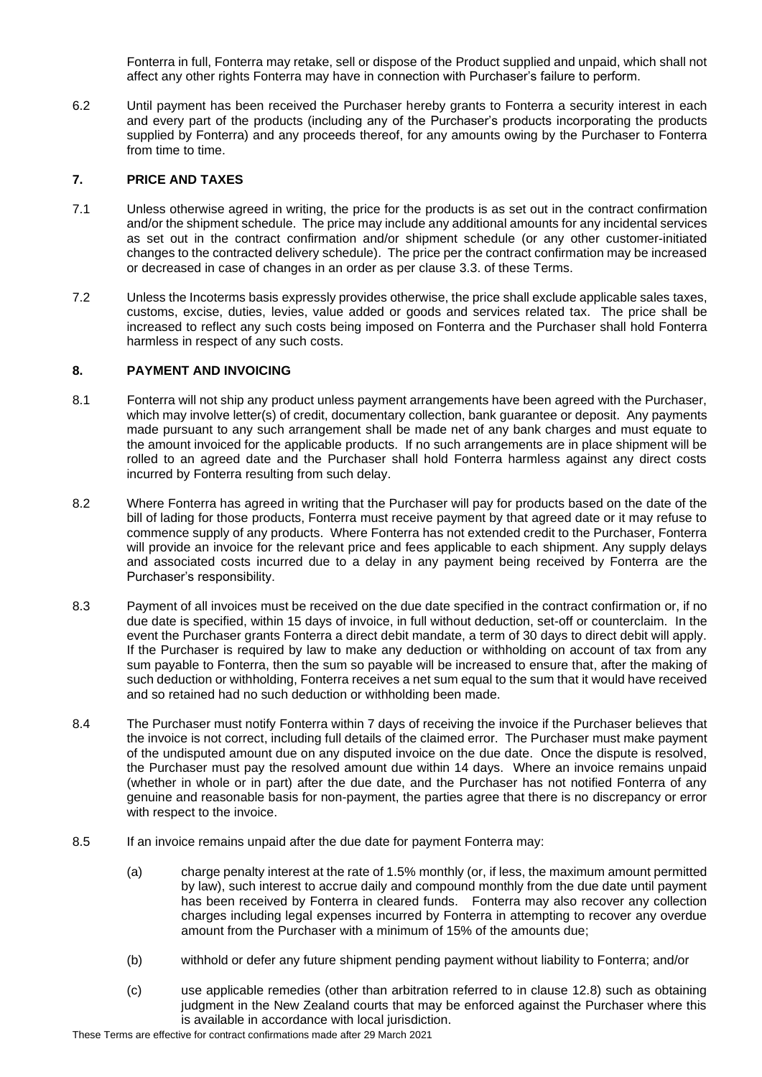Fonterra in full, Fonterra may retake, sell or dispose of the Product supplied and unpaid, which shall not affect any other rights Fonterra may have in connection with Purchaser's failure to perform.

6.2 Until payment has been received the Purchaser hereby grants to Fonterra a security interest in each and every part of the products (including any of the Purchaser's products incorporating the products supplied by Fonterra) and any proceeds thereof, for any amounts owing by the Purchaser to Fonterra from time to time.

#### **7. PRICE AND TAXES**

- 7.1 Unless otherwise agreed in writing, the price for the products is as set out in the contract confirmation and/or the shipment schedule. The price may include any additional amounts for any incidental services as set out in the contract confirmation and/or shipment schedule (or any other customer-initiated changes to the contracted delivery schedule). The price per the contract confirmation may be increased or decreased in case of changes in an order as per clause 3.3. of these Terms.
- 7.2 Unless the Incoterms basis expressly provides otherwise, the price shall exclude applicable sales taxes, customs, excise, duties, levies, value added or goods and services related tax. The price shall be increased to reflect any such costs being imposed on Fonterra and the Purchaser shall hold Fonterra harmless in respect of any such costs.

### **8. PAYMENT AND INVOICING**

- 8.1 Fonterra will not ship any product unless payment arrangements have been agreed with the Purchaser, which may involve letter(s) of credit, documentary collection, bank guarantee or deposit. Any payments made pursuant to any such arrangement shall be made net of any bank charges and must equate to the amount invoiced for the applicable products. If no such arrangements are in place shipment will be rolled to an agreed date and the Purchaser shall hold Fonterra harmless against any direct costs incurred by Fonterra resulting from such delay.
- 8.2 Where Fonterra has agreed in writing that the Purchaser will pay for products based on the date of the bill of lading for those products, Fonterra must receive payment by that agreed date or it may refuse to commence supply of any products. Where Fonterra has not extended credit to the Purchaser, Fonterra will provide an invoice for the relevant price and fees applicable to each shipment. Any supply delays and associated costs incurred due to a delay in any payment being received by Fonterra are the Purchaser's responsibility.
- 8.3 Payment of all invoices must be received on the due date specified in the contract confirmation or, if no due date is specified, within 15 days of invoice, in full without deduction, set-off or counterclaim. In the event the Purchaser grants Fonterra a direct debit mandate, a term of 30 days to direct debit will apply. If the Purchaser is required by law to make any deduction or withholding on account of tax from any sum payable to Fonterra, then the sum so payable will be increased to ensure that, after the making of such deduction or withholding, Fonterra receives a net sum equal to the sum that it would have received and so retained had no such deduction or withholding been made.
- 8.4 The Purchaser must notify Fonterra within 7 days of receiving the invoice if the Purchaser believes that the invoice is not correct, including full details of the claimed error. The Purchaser must make payment of the undisputed amount due on any disputed invoice on the due date. Once the dispute is resolved, the Purchaser must pay the resolved amount due within 14 days. Where an invoice remains unpaid (whether in whole or in part) after the due date, and the Purchaser has not notified Fonterra of any genuine and reasonable basis for non-payment, the parties agree that there is no discrepancy or error with respect to the invoice.
- 8.5 If an invoice remains unpaid after the due date for payment Fonterra may:
	- (a) charge penalty interest at the rate of 1.5% monthly (or, if less, the maximum amount permitted by law), such interest to accrue daily and compound monthly from the due date until payment has been received by Fonterra in cleared funds. Fonterra may also recover any collection charges including legal expenses incurred by Fonterra in attempting to recover any overdue amount from the Purchaser with a minimum of 15% of the amounts due;
	- (b) withhold or defer any future shipment pending payment without liability to Fonterra; and/or
	- (c) use applicable remedies (other than arbitration referred to in clause 12.8) such as obtaining judgment in the New Zealand courts that may be enforced against the Purchaser where this is available in accordance with local jurisdiction.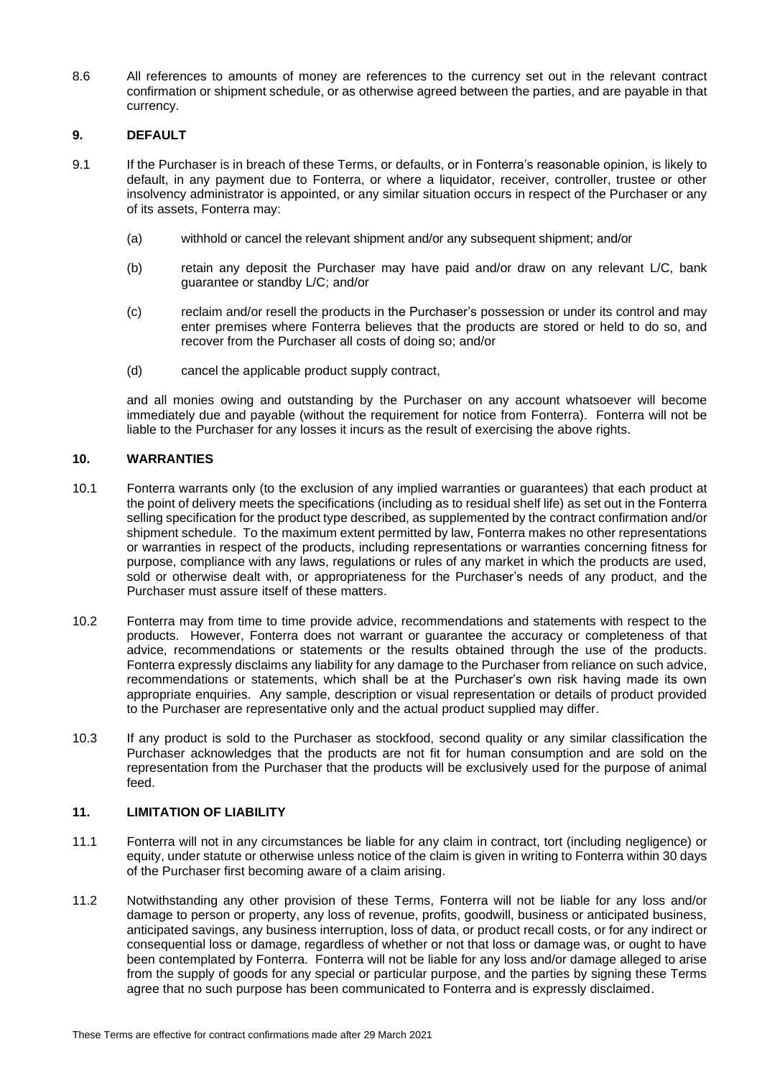8.6 All references to amounts of money are references to the currency set out in the relevant contract confirmation or shipment schedule, or as otherwise agreed between the parties, and are payable in that currency.

# **9. DEFAULT**

- 9.1 If the Purchaser is in breach of these Terms, or defaults, or in Fonterra's reasonable opinion, is likely to default, in any payment due to Fonterra, or where a liquidator, receiver, controller, trustee or other insolvency administrator is appointed, or any similar situation occurs in respect of the Purchaser or any of its assets, Fonterra may:
	- (a) withhold or cancel the relevant shipment and/or any subsequent shipment; and/or
	- (b) retain any deposit the Purchaser may have paid and/or draw on any relevant L/C, bank guarantee or standby L/C; and/or
	- (c) reclaim and/or resell the products in the Purchaser's possession or under its control and may enter premises where Fonterra believes that the products are stored or held to do so, and recover from the Purchaser all costs of doing so; and/or
	- (d) cancel the applicable product supply contract,

and all monies owing and outstanding by the Purchaser on any account whatsoever will become immediately due and payable (without the requirement for notice from Fonterra). Fonterra will not be liable to the Purchaser for any losses it incurs as the result of exercising the above rights.

#### **10. WARRANTIES**

- 10.1 Fonterra warrants only (to the exclusion of any implied warranties or guarantees) that each product at the point of delivery meets the specifications (including as to residual shelf life) as set out in the Fonterra selling specification for the product type described, as supplemented by the contract confirmation and/or shipment schedule. To the maximum extent permitted by law, Fonterra makes no other representations or warranties in respect of the products, including representations or warranties concerning fitness for purpose, compliance with any laws, regulations or rules of any market in which the products are used, sold or otherwise dealt with, or appropriateness for the Purchaser's needs of any product, and the Purchaser must assure itself of these matters.
- 10.2 Fonterra may from time to time provide advice, recommendations and statements with respect to the products. However, Fonterra does not warrant or guarantee the accuracy or completeness of that advice, recommendations or statements or the results obtained through the use of the products. Fonterra expressly disclaims any liability for any damage to the Purchaser from reliance on such advice, recommendations or statements, which shall be at the Purchaser's own risk having made its own appropriate enquiries. Any sample, description or visual representation or details of product provided to the Purchaser are representative only and the actual product supplied may differ.
- 10.3 If any product is sold to the Purchaser as stockfood, second quality or any similar classification the Purchaser acknowledges that the products are not fit for human consumption and are sold on the representation from the Purchaser that the products will be exclusively used for the purpose of animal feed.

#### **11. LIMITATION OF LIABILITY**

- 11.1 Fonterra will not in any circumstances be liable for any claim in contract, tort (including negligence) or equity, under statute or otherwise unless notice of the claim is given in writing to Fonterra within 30 days of the Purchaser first becoming aware of a claim arising.
- 11.2 Notwithstanding any other provision of these Terms, Fonterra will not be liable for any loss and/or damage to person or property, any loss of revenue, profits, goodwill, business or anticipated business, anticipated savings, any business interruption, loss of data, or product recall costs, or for any indirect or consequential loss or damage, regardless of whether or not that loss or damage was, or ought to have been contemplated by Fonterra. Fonterra will not be liable for any loss and/or damage alleged to arise from the supply of goods for any special or particular purpose, and the parties by signing these Terms agree that no such purpose has been communicated to Fonterra and is expressly disclaimed.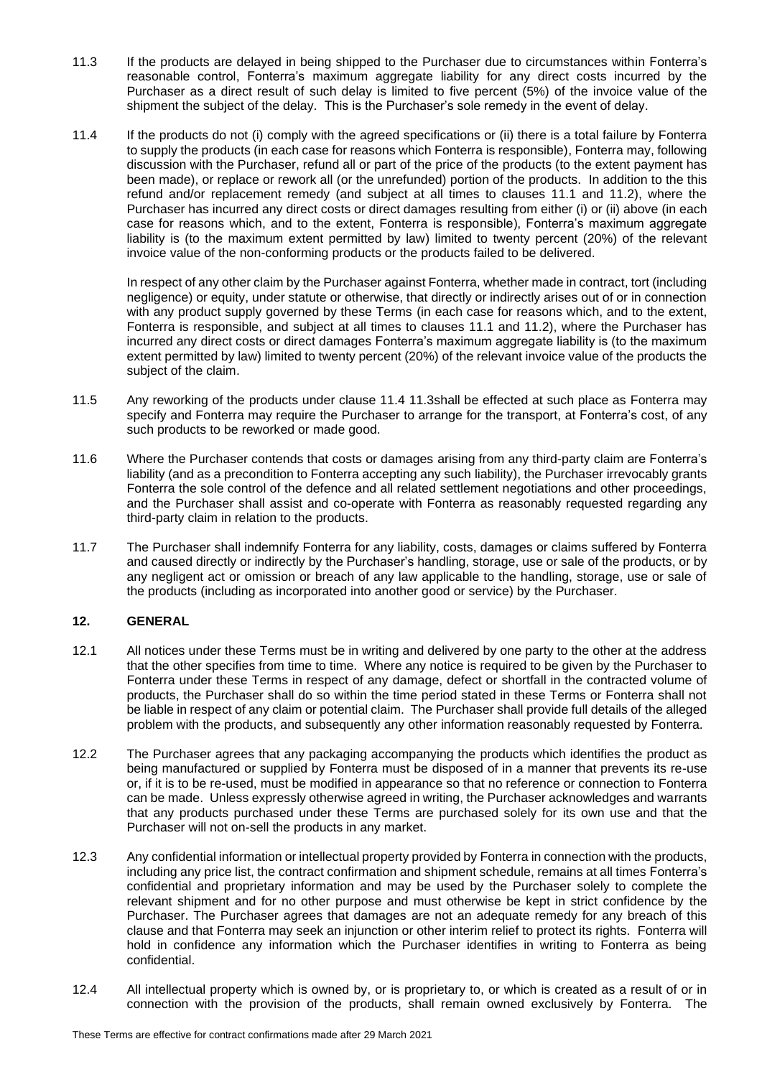- <span id="page-4-1"></span>11.3 If the products are delayed in being shipped to the Purchaser due to circumstances within Fonterra's reasonable control, Fonterra's maximum aggregate liability for any direct costs incurred by the Purchaser as a direct result of such delay is limited to five percent (5%) of the invoice value of the shipment the subject of the delay. This is the Purchaser's sole remedy in the event of delay.
- 11.4 If the products do not (i) comply with the agreed specifications or (ii) there is a total failure by Fonterra to supply the products (in each case for reasons which Fonterra is responsible), Fonterra may, following discussion with the Purchaser, refund all or part of the price of the products (to the extent payment has been made), or replace or rework all (or the unrefunded) portion of the products. In addition to the this refund and/or replacement remedy (and subject at all times to clauses 11.1 and 11.2), where the Purchaser has incurred any direct costs or direct damages resulting from either (i) or (ii) above (in each case for reasons which, and to the extent, Fonterra is responsible), Fonterra's maximum aggregate liability is (to the maximum extent permitted by law) limited to twenty percent (20%) of the relevant invoice value of the non-conforming products or the products failed to be delivered.

<span id="page-4-0"></span>In respect of any other claim by the Purchaser against Fonterra, whether made in contract, tort (including negligence) or equity, under statute or otherwise, that directly or indirectly arises out of or in connection with any product supply governed by these Terms (in each case for reasons which, and to the extent, Fonterra is responsible, and subject at all times to clauses 11.1 and 11.2), where the Purchaser has incurred any direct costs or direct damages Fonterra's maximum aggregate liability is (to the maximum extent permitted by law) limited to twenty percent (20%) of the relevant invoice value of the products the subject of the claim.

- 11.5 Any reworking of the products under clause [11.4](#page-4-0) [11.3s](#page-4-1)hall be effected at such place as Fonterra may specify and Fonterra may require the Purchaser to arrange for the transport, at Fonterra's cost, of any such products to be reworked or made good.
- 11.6 Where the Purchaser contends that costs or damages arising from any third-party claim are Fonterra's liability (and as a precondition to Fonterra accepting any such liability), the Purchaser irrevocably grants Fonterra the sole control of the defence and all related settlement negotiations and other proceedings, and the Purchaser shall assist and co-operate with Fonterra as reasonably requested regarding any third-party claim in relation to the products.
- 11.7 The Purchaser shall indemnify Fonterra for any liability, costs, damages or claims suffered by Fonterra and caused directly or indirectly by the Purchaser's handling, storage, use or sale of the products, or by any negligent act or omission or breach of any law applicable to the handling, storage, use or sale of the products (including as incorporated into another good or service) by the Purchaser.

# **12. GENERAL**

- 12.1 All notices under these Terms must be in writing and delivered by one party to the other at the address that the other specifies from time to time. Where any notice is required to be given by the Purchaser to Fonterra under these Terms in respect of any damage, defect or shortfall in the contracted volume of products, the Purchaser shall do so within the time period stated in these Terms or Fonterra shall not be liable in respect of any claim or potential claim. The Purchaser shall provide full details of the alleged problem with the products, and subsequently any other information reasonably requested by Fonterra.
- 12.2 The Purchaser agrees that any packaging accompanying the products which identifies the product as being manufactured or supplied by Fonterra must be disposed of in a manner that prevents its re-use or, if it is to be re-used, must be modified in appearance so that no reference or connection to Fonterra can be made. Unless expressly otherwise agreed in writing, the Purchaser acknowledges and warrants that any products purchased under these Terms are purchased solely for its own use and that the Purchaser will not on-sell the products in any market.
- 12.3 Any confidential information or intellectual property provided by Fonterra in connection with the products, including any price list, the contract confirmation and shipment schedule, remains at all times Fonterra's confidential and proprietary information and may be used by the Purchaser solely to complete the relevant shipment and for no other purpose and must otherwise be kept in strict confidence by the Purchaser. The Purchaser agrees that damages are not an adequate remedy for any breach of this clause and that Fonterra may seek an injunction or other interim relief to protect its rights. Fonterra will hold in confidence any information which the Purchaser identifies in writing to Fonterra as being confidential.
- 12.4 All intellectual property which is owned by, or is proprietary to, or which is created as a result of or in connection with the provision of the products, shall remain owned exclusively by Fonterra. The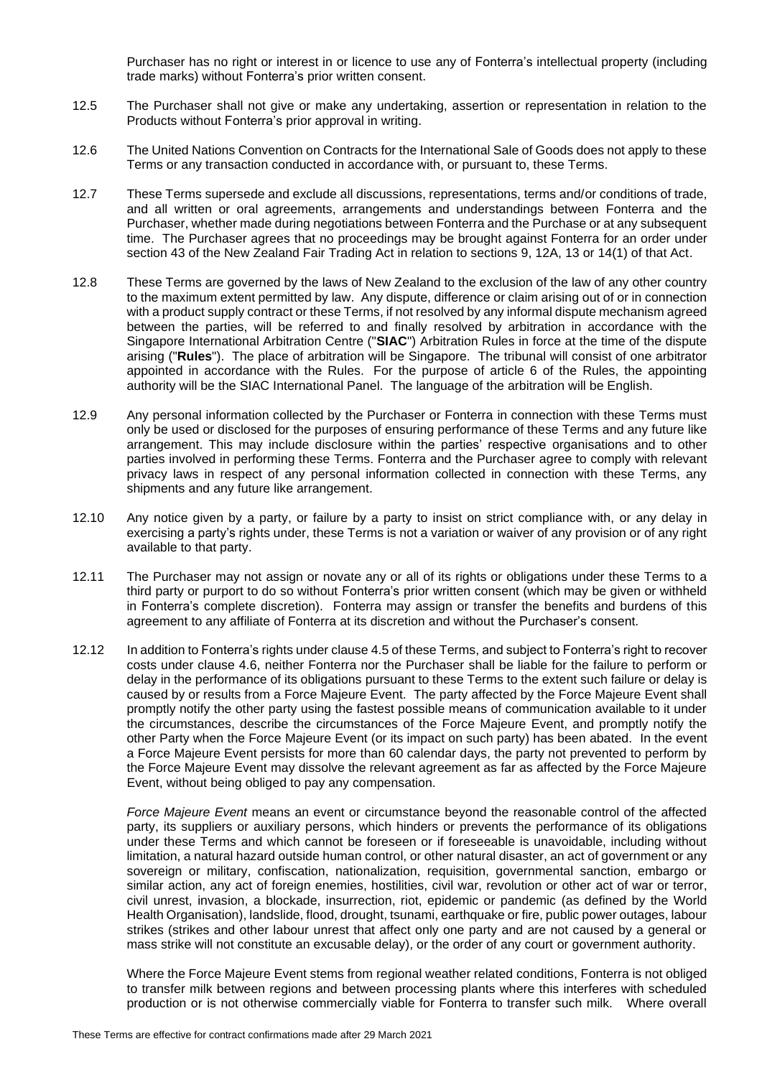Purchaser has no right or interest in or licence to use any of Fonterra's intellectual property (including trade marks) without Fonterra's prior written consent.

- 12.5 The Purchaser shall not give or make any undertaking, assertion or representation in relation to the Products without Fonterra's prior approval in writing.
- 12.6 The United Nations Convention on Contracts for the International Sale of Goods does not apply to these Terms or any transaction conducted in accordance with, or pursuant to, these Terms.
- 12.7 These Terms supersede and exclude all discussions, representations, terms and/or conditions of trade, and all written or oral agreements, arrangements and understandings between Fonterra and the Purchaser, whether made during negotiations between Fonterra and the Purchase or at any subsequent time. The Purchaser agrees that no proceedings may be brought against Fonterra for an order under section 43 of the New Zealand Fair Trading Act in relation to sections 9, 12A, 13 or 14(1) of that Act.
- 12.8 These Terms are governed by the laws of New Zealand to the exclusion of the law of any other country to the maximum extent permitted by law. Any dispute, difference or claim arising out of or in connection with a product supply contract or these Terms, if not resolved by any informal dispute mechanism agreed between the parties, will be referred to and finally resolved by arbitration in accordance with the Singapore International Arbitration Centre ("**SIAC**") Arbitration Rules in force at the time of the dispute arising ("**Rules**"). The place of arbitration will be Singapore. The tribunal will consist of one arbitrator appointed in accordance with the Rules. For the purpose of article 6 of the Rules, the appointing authority will be the SIAC International Panel. The language of the arbitration will be English.
- 12.9 Any personal information collected by the Purchaser or Fonterra in connection with these Terms must only be used or disclosed for the purposes of ensuring performance of these Terms and any future like arrangement. This may include disclosure within the parties' respective organisations and to other parties involved in performing these Terms. Fonterra and the Purchaser agree to comply with relevant privacy laws in respect of any personal information collected in connection with these Terms, any shipments and any future like arrangement.
- 12.10 Any notice given by a party, or failure by a party to insist on strict compliance with, or any delay in exercising a party's rights under, these Terms is not a variation or waiver of any provision or of any right available to that party.
- 12.11 The Purchaser may not assign or novate any or all of its rights or obligations under these Terms to a third party or purport to do so without Fonterra's prior written consent (which may be given or withheld in Fonterra's complete discretion). Fonterra may assign or transfer the benefits and burdens of this agreement to any affiliate of Fonterra at its discretion and without the Purchaser's consent.
- 12.12 In addition to Fonterra's rights under clause 4.5 of these Terms, and subject to Fonterra's right to recover costs under clause 4.6, neither Fonterra nor the Purchaser shall be liable for the failure to perform or delay in the performance of its obligations pursuant to these Terms to the extent such failure or delay is caused by or results from a Force Majeure Event. The party affected by the Force Majeure Event shall promptly notify the other party using the fastest possible means of communication available to it under the circumstances, describe the circumstances of the Force Majeure Event, and promptly notify the other Party when the Force Majeure Event (or its impact on such party) has been abated. In the event a Force Majeure Event persists for more than 60 calendar days, the party not prevented to perform by the Force Majeure Event may dissolve the relevant agreement as far as affected by the Force Majeure Event, without being obliged to pay any compensation.

*Force Majeure Event* means an event or circumstance beyond the reasonable control of the affected party, its suppliers or auxiliary persons, which hinders or prevents the performance of its obligations under these Terms and which cannot be foreseen or if foreseeable is unavoidable, including without limitation, a natural hazard outside human control, or other natural disaster, an act of government or any sovereign or military, confiscation, nationalization, requisition, governmental sanction, embargo or similar action, any act of foreign enemies, hostilities, civil war, revolution or other act of war or terror, civil unrest, invasion, a blockade, insurrection, riot, epidemic or pandemic (as defined by the World Health Organisation), landslide, flood, drought, tsunami, earthquake or fire, public power outages, labour strikes (strikes and other labour unrest that affect only one party and are not caused by a general or mass strike will not constitute an excusable delay), or the order of any court or government authority.

Where the Force Majeure Event stems from regional weather related conditions. Fonterra is not obliged to transfer milk between regions and between processing plants where this interferes with scheduled production or is not otherwise commercially viable for Fonterra to transfer such milk. Where overall